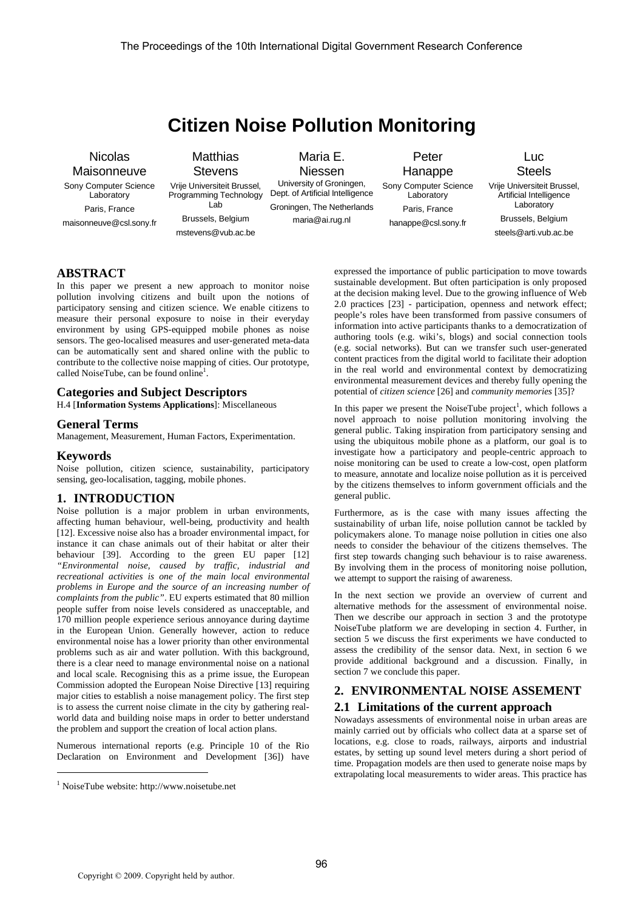# **Citizen Noise Pollution Monitoring**

# Nicolas **Maisonneuve**

Sony Computer Science **Laboratory** Paris, France maisonneuve@csl.sony.fr **Matthias Stevens** 

Vrije Universiteit Brussel, Programming Technology Lab Brussels, Belgium mstevens@vub.ac.be

Maria E. Niessen University of Groningen, Dept. of Artificial Intelligence

maria@ai.rug.nl

Groningen, The Netherlands Peter Hanappe Sony Computer Science **Laboratory** 

Paris, France hanappe@csl.sony.fr **Steels** 

Vrije Universiteit Brussel, Artificial Intelligence Laboratory Brussels, Belgium steels@arti.vub.ac.be

Luc

# **ABSTRACT**

In this paper we present a new approach to monitor noise pollution involving citizens and built upon the notions of participatory sensing and citizen science. We enable citizens to measure their personal exposure to noise in their everyday environment by using GPS-equipped mobile phones as noise sensors. The geo-localised measures and user-generated meta-data can be automatically sent and shared online with the public to contribute to the collective noise mapping of cities. Our prototype, called NoiseTube, can be found online<sup>1</sup>.

#### **Categories and Subject Descriptors**

H.4 [**Information Systems Applications**]: Miscellaneous

#### **General Terms**

Management, Measurement, Human Factors, Experimentation.

#### **Keywords**

j

Noise pollution, citizen science, sustainability, participatory sensing, geo-localisation, tagging, mobile phones.

# **1. INTRODUCTION**

Noise pollution is a major problem in urban environments, affecting human behaviour, well-being, productivity and health [12]. Excessive noise also has a broader environmental impact, for instance it can chase animals out of their habitat or alter their behaviour [39]. According to the green EU paper [12] *"Environmental noise, caused by traffic, industrial and recreational activities is one of the main local environmental problems in Europe and the source of an increasing number of complaints from the public"*. EU experts estimated that 80 million people suffer from noise levels considered as unacceptable, and 170 million people experience serious annoyance during daytime in the European Union. Generally however, action to reduce environmental noise has a lower priority than other environmental problems such as air and water pollution. With this background, there is a clear need to manage environmental noise on a national and local scale. Recognising this as a prime issue, the European Commission adopted the European Noise Directive [13] requiring major cities to establish a noise management policy. The first step is to assess the current noise climate in the city by gathering realworld data and building noise maps in order to better understand the problem and support the creation of local action plans.

Numerous international reports (e.g. Principle 10 of the Rio Declaration on Environment and Development [36]) have

expressed the importance of public participation to move towards sustainable development. But often participation is only proposed at the decision making level. Due to the growing influence of Web 2.0 practices [23] - participation, openness and network effect; people's roles have been transformed from passive consumers of information into active participants thanks to a democratization of authoring tools (e.g. wiki's, blogs) and social connection tools (e.g. social networks). But can we transfer such user-generated content practices from the digital world to facilitate their adoption in the real world and environmental context by democratizing environmental measurement devices and thereby fully opening the potential of *citizen science* [26] and *community memories* [35]?

In this paper we present the NoiseTube project<sup>1</sup>, which follows a novel approach to noise pollution monitoring involving the general public. Taking inspiration from participatory sensing and using the ubiquitous mobile phone as a platform, our goal is to investigate how a participatory and people-centric approach to noise monitoring can be used to create a low-cost, open platform to measure, annotate and localize noise pollution as it is perceived by the citizens themselves to inform government officials and the general public.

Furthermore, as is the case with many issues affecting the sustainability of urban life, noise pollution cannot be tackled by policymakers alone. To manage noise pollution in cities one also needs to consider the behaviour of the citizens themselves. The first step towards changing such behaviour is to raise awareness. By involving them in the process of monitoring noise pollution, we attempt to support the raising of awareness.

In the next section we provide an overview of current and alternative methods for the assessment of environmental noise. Then we describe our approach in section 3 and the prototype NoiseTube platform we are developing in section 4. Further, in section 5 we discuss the first experiments we have conducted to assess the credibility of the sensor data. Next, in section 6 we provide additional background and a discussion. Finally, in section 7 we conclude this paper.

# **2. ENVIRONMENTAL NOISE ASSEMENT 2.1 Limitations of the current approach**

Nowadays assessments of environmental noise in urban areas are mainly carried out by officials who collect data at a sparse set of locations, e.g. close to roads, railways, airports and industrial estates, by setting up sound level meters during a short period of time. Propagation models are then used to generate noise maps by extrapolating local measurements to wider areas. This practice has

<sup>1</sup> NoiseTube website: http://www.noisetube.net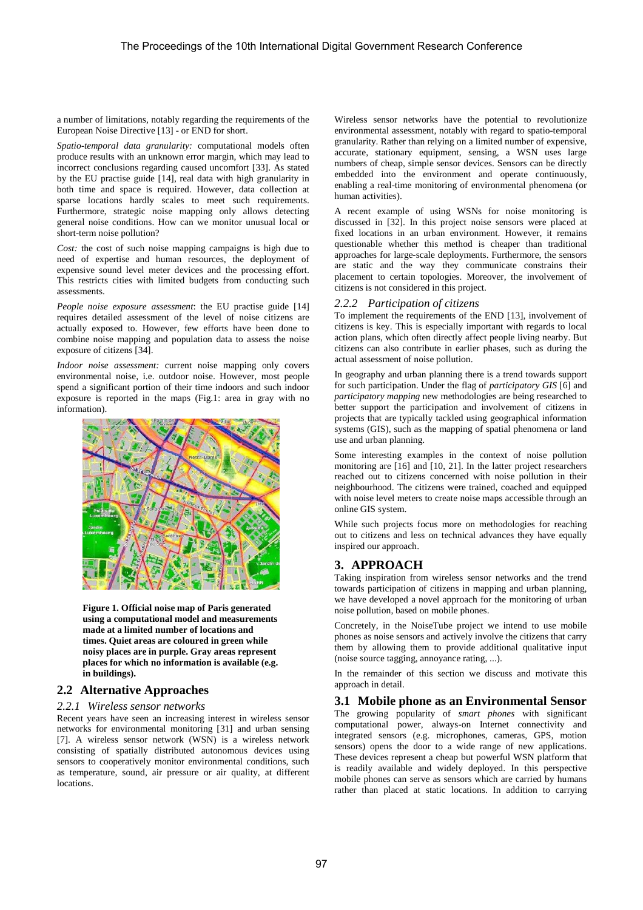a number of limitations, notably regarding the requirements of the European Noise Directive [13] - or END for short.

*Spatio-temporal data granularity:* computational models often produce results with an unknown error margin, which may lead to incorrect conclusions regarding caused uncomfort [33]. As stated by the EU practise guide [14], real data with high granularity in both time and space is required. However, data collection at sparse locations hardly scales to meet such requirements. Furthermore, strategic noise mapping only allows detecting general noise conditions. How can we monitor unusual local or short-term noise pollution?

*Cost:* the cost of such noise mapping campaigns is high due to need of expertise and human resources, the deployment of expensive sound level meter devices and the processing effort. This restricts cities with limited budgets from conducting such assessments.

*People noise exposure assessment*: the EU practise guide [14] requires detailed assessment of the level of noise citizens are actually exposed to. However, few efforts have been done to combine noise mapping and population data to assess the noise exposure of citizens [34].

*Indoor noise assessment:* current noise mapping only covers environmental noise, i.e. outdoor noise. However, most people spend a significant portion of their time indoors and such indoor exposure is reported in the maps (Fig.1: area in gray with no information).



**Figure 1. Official noise map of Paris generated using a computational model and measurements made at a limited number of locations and times. Quiet areas are coloured in green while noisy places are in purple. Gray areas represent places for which no information is available (e.g. in buildings).** 

# **2.2 Alternative Approaches**

### *2.2.1 Wireless sensor networks*

Recent years have seen an increasing interest in wireless sensor networks for environmental monitoring [31] and urban sensing [7]. A wireless sensor network (WSN) is a wireless network consisting of spatially distributed autonomous devices using sensors to cooperatively monitor environmental conditions, such as temperature, sound, air pressure or air quality, at different locations.

Wireless sensor networks have the potential to revolutionize environmental assessment, notably with regard to spatio-temporal granularity. Rather than relying on a limited number of expensive, accurate, stationary equipment, sensing, a WSN uses large numbers of cheap, simple sensor devices. Sensors can be directly embedded into the environment and operate continuously, enabling a real-time monitoring of environmental phenomena (or human activities).

A recent example of using WSNs for noise monitoring is discussed in [32]. In this project noise sensors were placed at fixed locations in an urban environment. However, it remains questionable whether this method is cheaper than traditional approaches for large-scale deployments. Furthermore, the sensors are static and the way they communicate constrains their placement to certain topologies. Moreover, the involvement of citizens is not considered in this project.

#### *2.2.2 Participation of citizens*

To implement the requirements of the END [13], involvement of citizens is key. This is especially important with regards to local action plans, which often directly affect people living nearby. But citizens can also contribute in earlier phases, such as during the actual assessment of noise pollution.

In geography and urban planning there is a trend towards support for such participation. Under the flag of *participatory GIS* [6] and *participatory mapping* new methodologies are being researched to better support the participation and involvement of citizens in projects that are typically tackled using geographical information systems (GIS), such as the mapping of spatial phenomena or land use and urban planning.

Some interesting examples in the context of noise pollution monitoring are [16] and [10, 21]. In the latter project researchers reached out to citizens concerned with noise pollution in their neighbourhood. The citizens were trained, coached and equipped with noise level meters to create noise maps accessible through an online GIS system.

While such projects focus more on methodologies for reaching out to citizens and less on technical advances they have equally inspired our approach.

# **3. APPROACH**

Taking inspiration from wireless sensor networks and the trend towards participation of citizens in mapping and urban planning, we have developed a novel approach for the monitoring of urban noise pollution, based on mobile phones.

Concretely, in the NoiseTube project we intend to use mobile phones as noise sensors and actively involve the citizens that carry them by allowing them to provide additional qualitative input (noise source tagging, annoyance rating, ...).

In the remainder of this section we discuss and motivate this approach in detail.

# **3.1 Mobile phone as an Environmental Sensor**

The growing popularity of *smart phones* with significant computational power, always-on Internet connectivity and integrated sensors (e.g. microphones, cameras, GPS, motion sensors) opens the door to a wide range of new applications. These devices represent a cheap but powerful WSN platform that is readily available and widely deployed. In this perspective mobile phones can serve as sensors which are carried by humans rather than placed at static locations. In addition to carrying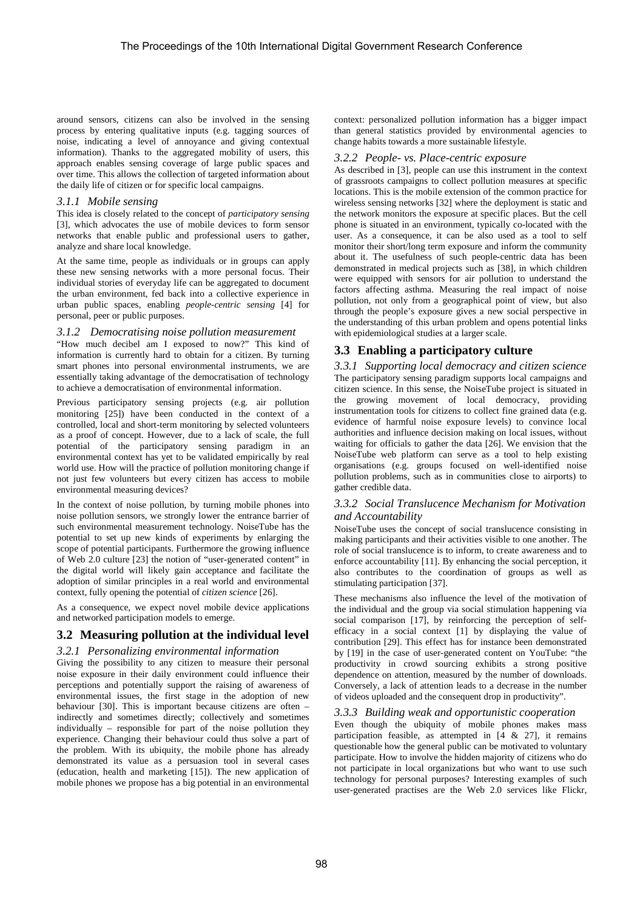around sensors, citizens can also be involved in the sensing process by entering qualitative inputs (e.g. tagging sources of noise, indicating a level of annoyance and giving contextual information). Thanks to the aggregated mobility of users, this approach enables sensing coverage of large public spaces and over time. This allows the collection of targeted information about the daily life of citizen or for specific local campaigns.

#### *3.1.1 Mobile sensing*

This idea is closely related to the concept of *participatory sensing*  [3], which advocates the use of mobile devices to form sensor networks that enable public and professional users to gather, analyze and share local knowledge.

At the same time, people as individuals or in groups can apply these new sensing networks with a more personal focus. Their individual stories of everyday life can be aggregated to document the urban environment, fed back into a collective experience in urban public spaces, enabling *people-centric sensing* [4] for personal, peer or public purposes.

# *3.1.2 Democratising noise pollution measurement*

"How much decibel am I exposed to now?" This kind of information is currently hard to obtain for a citizen. By turning smart phones into personal environmental instruments, we are essentially taking advantage of the democratisation of technology to achieve a democratisation of environmental information.

Previous participatory sensing projects (e.g. air pollution monitoring [25]) have been conducted in the context of a controlled, local and short-term monitoring by selected volunteers as a proof of concept. However, due to a lack of scale, the full potential of the participatory sensing paradigm in an environmental context has yet to be validated empirically by real world use. How will the practice of pollution monitoring change if not just few volunteers but every citizen has access to mobile environmental measuring devices?

In the context of noise pollution, by turning mobile phones into noise pollution sensors, we strongly lower the entrance barrier of such environmental measurement technology. NoiseTube has the potential to set up new kinds of experiments by enlarging the scope of potential participants. Furthermore the growing influence of Web 2.0 culture [23] the notion of "user-generated content" in the digital world will likely gain acceptance and facilitate the adoption of similar principles in a real world and environmental context, fully opening the potential of *citizen science* [26].

As a consequence, we expect novel mobile device applications and networked participation models to emerge.

# **3.2 Measuring pollution at the individual level**

# *3.2.1 Personalizing environmental information*

Giving the possibility to any citizen to measure their personal noise exposure in their daily environment could influence their perceptions and potentially support the raising of awareness of environmental issues, the first stage in the adoption of new behaviour [30]. This is important because citizens are often – indirectly and sometimes directly; collectively and sometimes individually – responsible for part of the noise pollution they experience. Changing their behaviour could thus solve a part of the problem. With its ubiquity, the mobile phone has already demonstrated its value as a persuasion tool in several cases (education, health and marketing [15]). The new application of mobile phones we propose has a big potential in an environmental context: personalized pollution information has a bigger impact than general statistics provided by environmental agencies to change habits towards a more sustainable lifestyle.

#### *3.2.2 People- vs. Place-centric exposure*

As described in [3], people can use this instrument in the context of grassroots campaigns to collect pollution measures at specific locations. This is the mobile extension of the common practice for wireless sensing networks [32] where the deployment is static and the network monitors the exposure at specific places. But the cell phone is situated in an environment, typically co-located with the user. As a consequence, it can be also used as a tool to self monitor their short/long term exposure and inform the community about it. The usefulness of such people-centric data has been demonstrated in medical projects such as [38], in which children were equipped with sensors for air pollution to understand the factors affecting asthma. Measuring the real impact of noise pollution, not only from a geographical point of view, but also through the people's exposure gives a new social perspective in the understanding of this urban problem and opens potential links with epidemiological studies at a larger scale.

# **3.3 Enabling a participatory culture**

*3.3.1 Supporting local democracy and citizen science*  The participatory sensing paradigm supports local campaigns and citizen science. In this sense, the NoiseTube project is situated in the growing movement of local democracy, providing instrumentation tools for citizens to collect fine grained data (e.g. evidence of harmful noise exposure levels) to convince local authorities and influence decision making on local issues, without waiting for officials to gather the data [26]. We envision that the NoiseTube web platform can serve as a tool to help existing organisations (e.g. groups focused on well-identified noise pollution problems, such as in communities close to airports) to gather credible data.

# *3.3.2 Social Translucence Mechanism for Motivation and Accountability*

NoiseTube uses the concept of social translucence consisting in making participants and their activities visible to one another. The role of social translucence is to inform, to create awareness and to enforce accountability [11]. By enhancing the social perception, it also contributes to the coordination of groups as well as stimulating participation [37].

These mechanisms also influence the level of the motivation of the individual and the group via social stimulation happening via social comparison [17], by reinforcing the perception of selfefficacy in a social context [1] by displaying the value of contribution [29]. This effect has for instance been demonstrated by [19] in the case of user-generated content on YouTube: "the productivity in crowd sourcing exhibits a strong positive dependence on attention, measured by the number of downloads. Conversely, a lack of attention leads to a decrease in the number of videos uploaded and the consequent drop in productivity".

# *3.3.3 Building weak and opportunistic cooperation*

Even though the ubiquity of mobile phones makes mass participation feasible, as attempted in  $[4 \& 27]$ , it remains questionable how the general public can be motivated to voluntary participate. How to involve the hidden majority of citizens who do not participate in local organizations but who want to use such technology for personal purposes? Interesting examples of such user-generated practises are the Web 2.0 services like Flickr,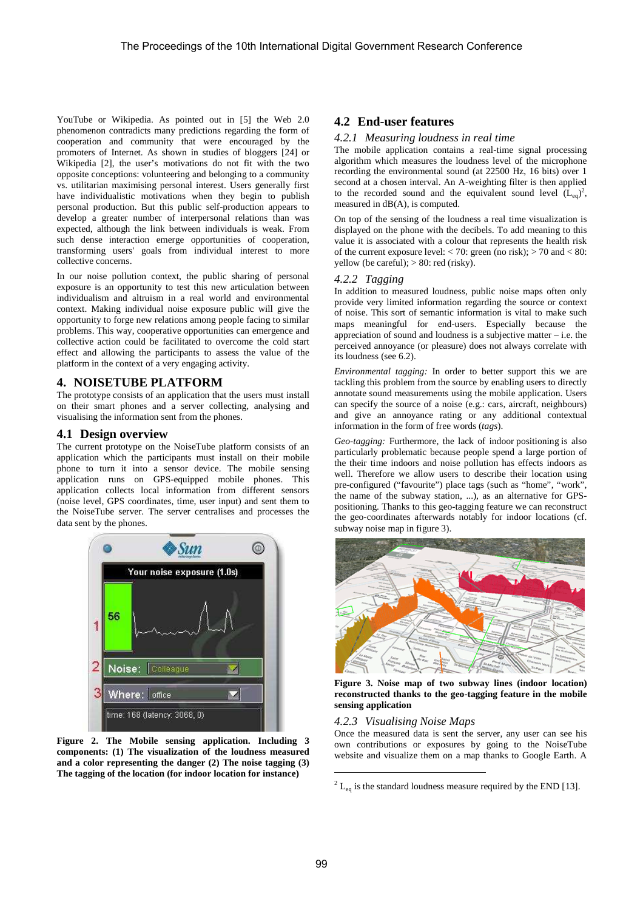YouTube or Wikipedia. As pointed out in [5] the Web 2.0 phenomenon contradicts many predictions regarding the form of cooperation and community that were encouraged by the promoters of Internet. As shown in studies of bloggers [24] or Wikipedia [2], the user's motivations do not fit with the two opposite conceptions: volunteering and belonging to a community vs. utilitarian maximising personal interest. Users generally first have individualistic motivations when they begin to publish personal production. But this public self-production appears to develop a greater number of interpersonal relations than was expected, although the link between individuals is weak. From such dense interaction emerge opportunities of cooperation, transforming users' goals from individual interest to more collective concerns.

In our noise pollution context, the public sharing of personal exposure is an opportunity to test this new articulation between individualism and altruism in a real world and environmental context. Making individual noise exposure public will give the opportunity to forge new relations among people facing to similar problems. This way, cooperative opportunities can emergence and collective action could be facilitated to overcome the cold start effect and allowing the participants to assess the value of the platform in the context of a very engaging activity.

#### **4. NOISETUBE PLATFORM**

The prototype consists of an application that the users must install on their smart phones and a server collecting, analysing and visualising the information sent from the phones.

#### **4.1 Design overview**

The current prototype on the NoiseTube platform consists of an application which the participants must install on their mobile phone to turn it into a sensor device. The mobile sensing application runs on GPS-equipped mobile phones. This application collects local information from different sensors (noise level, GPS coordinates, time, user input) and sent them to the NoiseTube server. The server centralises and processes the data sent by the phones.



**Figure 2. The Mobile sensing application. Including 3 components: (1) The visualization of the loudness measured and a color representing the danger (2) The noise tagging (3) The tagging of the location (for indoor location for instance)** 

# **4.2 End-user features**

#### *4.2.1 Measuring loudness in real time*

The mobile application contains a real-time signal processing algorithm which measures the loudness level of the microphone recording the environmental sound (at 22500 Hz, 16 bits) over 1 second at a chosen interval. An A-weighting filter is then applied to the recorded sound and the equivalent sound level  $(L_{eq})^2$ , measured in dB(A), is computed.

On top of the sensing of the loudness a real time visualization is displayed on the phone with the decibels. To add meaning to this value it is associated with a colour that represents the health risk of the current exposure level:  $< 70$ : green (no risk);  $> 70$  and  $< 80$ : yellow (be careful);  $> 80$ : red (risky).

#### *4.2.2 Tagging*

In addition to measured loudness, public noise maps often only provide very limited information regarding the source or context of noise. This sort of semantic information is vital to make such maps meaningful for end-users. Especially because the appreciation of sound and loudness is a subjective matter – i.e. the perceived annoyance (or pleasure) does not always correlate with its loudness (see 6.2).

*Environmental tagging:* In order to better support this we are tackling this problem from the source by enabling users to directly annotate sound measurements using the mobile application. Users can specify the source of a noise (e.g.: cars, aircraft, neighbours) and give an annoyance rating or any additional contextual information in the form of free words (*tags*).

*Geo-tagging:* Furthermore, the lack of indoor positioning is also particularly problematic because people spend a large portion of the their time indoors and noise pollution has effects indoors as well. Therefore we allow users to describe their location using pre-configured ("favourite") place tags (such as "home", "work", the name of the subway station, ...), as an alternative for GPSpositioning. Thanks to this geo-tagging feature we can reconstruct the geo-coordinates afterwards notably for indoor locations (cf. subway noise map in figure 3).



**Figure 3. Noise map of two subway lines (indoor location) reconstructed thanks to the geo-tagging feature in the mobile sensing application** 

#### *4.2.3 Visualising Noise Maps*

Once the measured data is sent the server, any user can see his own contributions or exposures by going to the NoiseTube website and visualize them on a map thanks to Google Earth. A

 $\overline{a}$ 

 $^{2}$  L<sub>eq</sub> is the standard loudness measure required by the END [13].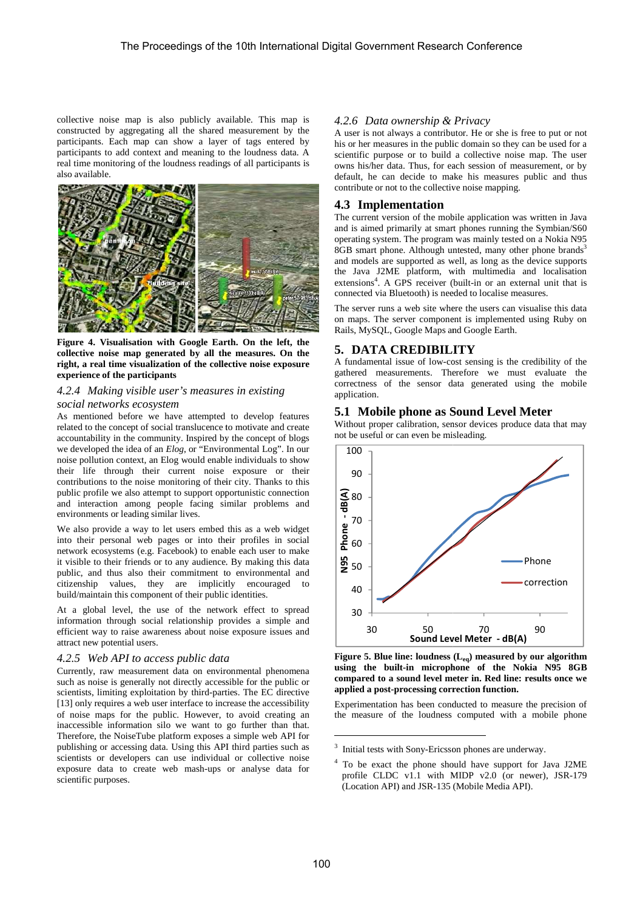collective noise map is also publicly available. This map is constructed by aggregating all the shared measurement by the participants. Each map can show a layer of tags entered by participants to add context and meaning to the loudness data. A real time monitoring of the loudness readings of all participants is also available.



Figure 4. Visualisation with Google Earth. On the left, the collective noise map generated by all the measures. On the **right, a real time visualization of the collective noise exposure experience of the participants** 

#### *4.2.4 Making visible user's measures in existing social networks ecosystem*

As mentioned before we have attempted to develop features related to the concept of social translucence to motivate and create related to the concept of social translucence to motivate and create<br>accountability in the community. Inspired by the concept of blogs we developed the idea of an *Elog*, or "Environmental Log". In our noise pollution context, an Elog would enable individuals to show their life through their current noise exposure or their contributions to the noise monitoring of their city. Thanks to this public profile we also attempt to support opportunistic connection and interaction among people facing similar problems and environments or leading similar lives.

We also provide a way to let users embed this as a web widget into their personal web pages or into their profiles in social network ecosystems (e.g. Facebook) to enable each user to make into their personal web pages or into their profiles in social<br>network ecosystems (e.g. Facebook) to enable each user to make<br>it visible to their friends or to any audience. By making this data public, and thus also their commitment to environmental and citizenship values, they are implicitly encouraged to build/maintain this component of their public identities. build/maintain this component of their public identities.<br>At a global level, the use of the network effect to spread

information through social relationship provides a simple and efficient way to raise awareness about noise exposure issues and attract new potential users.

#### 4.2.5 Web API to access public data

Currently, raw measurement data on environmental phenomena such as noise is generally not directly accessible for the public or scientists, limiting exploitation by third-parties. The EC directive scientists, limiting exploitation by third-parties. The EC directive [13] only requires a web user interface to increase the accessibility of noise maps for the public. However, to avoid creating an inaccessible information silo we want to go further than that. Therefore, the NoiseTube platform exposes a simple web API for publishing or accessing data. Using this API third parties such as scientists or developers can use individual or collective noise exposure data to create web mash-ups or analyse data for scientific purposes.

A user is not always a contributor. He or she is free to put or not his or her measures in the public domain so they can be used for a scientific purpose or to build a collective noise map. The user owns his/her data. Thus, for each session of measurement, or by default, he can decide to make his measures public and thus contribute or not to the collective noise mapping.

#### **4.3 Implementation**

The current version of the mobile application was written in Java and is aimed primarily at smart phones running the Symbian/S60 operating system. The program was mainly tested on a Nokia N95 The current version of the mobile application was written in Java<br>and is aimed primarily at smart phones running the Symbian/S60<br>operating system. The program was mainly tested on a Nokia N95<br>8GB smart phone. Although unte and models are supported as well, as long as the device supports the Java J2ME platform, with multimedia and localisation and models are supported as well, as long as the device supports<br>the Java J2ME platform, with multimedia and localisation<br>extensions<sup>4</sup>. A GPS receiver (built-in or an external unit that is connected via Bluetooth) is needed to localise measures. measures.

The server runs a web site where the users can visualise this data on maps. The server component is implemented using Ruby on Rails, MySQL, Google Maps and Google Earth. definition the users can visualise this data<br>
nent is implemented using Ruby on<br>
and Google Earth.<br> **LITY**<br>
cost sensing is the credibility of the<br>
herefore we must evaluate the<br>
data generated using the mobile

### **5. DATA CREDIBILITY**

A fundamental issue of low-cost sensing is the credibility of the gathered measurements. Therefore we must evaluate the correctness of the sensor data generated using the mobile application.

# **5.1 Mobile phone as Sound Level Meter Sound**

Without proper calibration, sensor devices produce data that may not be useful or can even be misleading.



**Figure 5. Blue line: loudness (L eq) measured by our algorithm**  using the built-in microphone of the Nokia N95 8GB compared to a sound level meter in. Red line: results once we **applied a post-processing correction function.** 70 90<br> **Level Meter - dB(A)**<br> **Ress (L<sub>eq</sub>) measured by our rophone of the Nokia**<br> **el meter in. Red line: resul correction function.**<br>
conducted to measure the p<br>
mess computed with a mol<br>
icsson phones are underway.<br>
sh

Experimentation has been conducted to measure the precision of the measure of the loudness computed with a mobile phone<br>
<u>a</u>

 $\overline{a}$ 

<sup>&</sup>lt;sup>3</sup> Initial tests with Sony-Ericsson phones are underway.

<sup>&</sup>lt;sup>3</sup> Initial tests with Sony-Ericsson phones are underway.<br><sup>4</sup> To be exact the phone should have support for Java J2ME profile CLDC  $v1.1$  with MIDP  $v2.0$  (or newer), JSR-179 (Location API) and JSR-135 (Mobile Media API).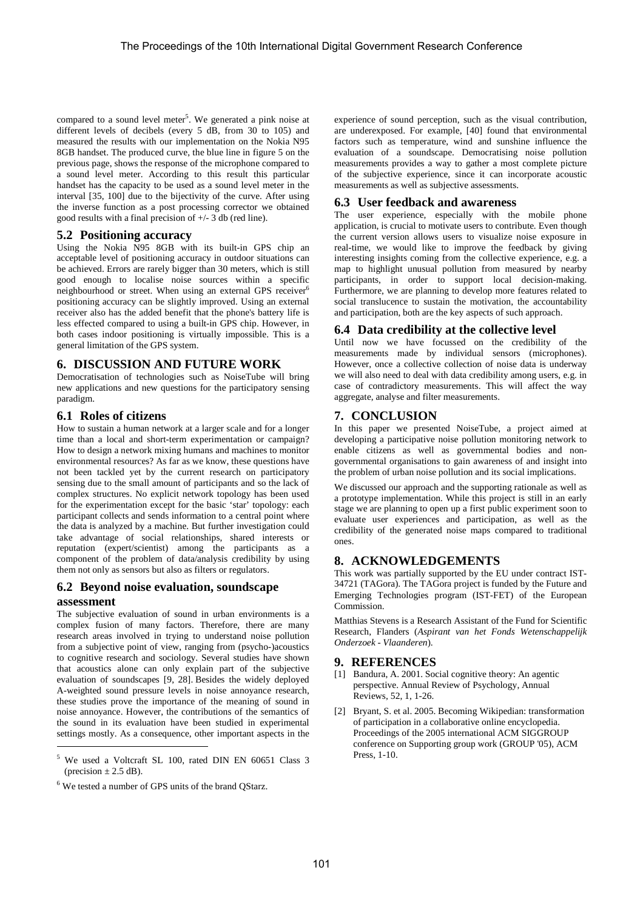compared to a sound level meter<sup>5</sup>. We generated a pink noise at different levels of decibels (every 5 dB, from 30 to 105) and measured the results with our implementation on the Nokia N95 8GB handset. The produced curve, the blue line in figure 5 on the previous page, shows the response of the microphone compared to a sound level meter. According to this result this particular handset has the capacity to be used as a sound level meter in the interval [35, 100] due to the bijectivity of the curve. After using the inverse function as a post processing corrector we obtained good results with a final precision of +/- 3 db (red line).

# **5.2 Positioning accuracy**

Using the Nokia N95 8GB with its built-in GPS chip an acceptable level of positioning accuracy in outdoor situations can be achieved. Errors are rarely bigger than 30 meters, which is still good enough to localise noise sources within a specific neighbourhood or street. When using an external GPS receiver<sup>6</sup> positioning accuracy can be slightly improved. Using an external receiver also has the added benefit that the phone's battery life is less effected compared to using a built-in GPS chip. However, in both cases indoor positioning is virtually impossible. This is a general limitation of the GPS system.

# **6. DISCUSSION AND FUTURE WORK**

Democratisation of technologies such as NoiseTube will bring new applications and new questions for the participatory sensing paradigm.

# **6.1 Roles of citizens**

How to sustain a human network at a larger scale and for a longer time than a local and short-term experimentation or campaign? How to design a network mixing humans and machines to monitor environmental resources? As far as we know, these questions have not been tackled yet by the current research on participatory sensing due to the small amount of participants and so the lack of complex structures. No explicit network topology has been used for the experimentation except for the basic 'star' topology: each participant collects and sends information to a central point where the data is analyzed by a machine. But further investigation could take advantage of social relationships, shared interests or reputation (expert/scientist) among the participants as a component of the problem of data/analysis credibility by using them not only as sensors but also as filters or regulators.

# **6.2 Beyond noise evaluation, soundscape assessment**

The subjective evaluation of sound in urban environments is a complex fusion of many factors. Therefore, there are many research areas involved in trying to understand noise pollution from a subjective point of view, ranging from (psycho-)acoustics to cognitive research and sociology. Several studies have shown that acoustics alone can only explain part of the subjective evaluation of soundscapes [9, 28]. Besides the widely deployed A-weighted sound pressure levels in noise annoyance research, these studies prove the importance of the meaning of sound in noise annoyance. However, the contributions of the semantics of the sound in its evaluation have been studied in experimental settings mostly. As a consequence, other important aspects in the

l

experience of sound perception, such as the visual contribution, are underexposed. For example, [40] found that environmental factors such as temperature, wind and sunshine influence the evaluation of a soundscape. Democratising noise pollution measurements provides a way to gather a most complete picture of the subjective experience, since it can incorporate acoustic measurements as well as subjective assessments.

# **6.3 User feedback and awareness**

The user experience, especially with the mobile phone application, is crucial to motivate users to contribute. Even though the current version allows users to visualize noise exposure in real-time, we would like to improve the feedback by giving interesting insights coming from the collective experience, e.g. a map to highlight unusual pollution from measured by nearby participants, in order to support local decision-making. Furthermore, we are planning to develop more features related to social translucence to sustain the motivation, the accountability and participation, both are the key aspects of such approach.

# **6.4 Data credibility at the collective level**

Until now we have focussed on the credibility of the measurements made by individual sensors (microphones). However, once a collective collection of noise data is underway we will also need to deal with data credibility among users, e.g. in case of contradictory measurements. This will affect the way aggregate, analyse and filter measurements.

# **7. CONCLUSION**

In this paper we presented NoiseTube, a project aimed at developing a participative noise pollution monitoring network to enable citizens as well as governmental bodies and nongovernmental organisations to gain awareness of and insight into the problem of urban noise pollution and its social implications.

We discussed our approach and the supporting rationale as well as a prototype implementation. While this project is still in an early stage we are planning to open up a first public experiment soon to evaluate user experiences and participation, as well as the credibility of the generated noise maps compared to traditional ones.

# **8. ACKNOWLEDGEMENTS**

This work was partially supported by the EU under contract IST-34721 (TAGora). The TAGora project is funded by the Future and Emerging Technologies program (IST-FET) of the European Commission.

Matthias Stevens is a Research Assistant of the Fund for Scientific Research, Flanders (*Aspirant van het Fonds Wetenschappelijk Onderzoek - Vlaanderen*).

# **9. REFERENCES**

- [1] Bandura, A. 2001. Social cognitive theory: An agentic perspective. Annual Review of Psychology, Annual Reviews, 52, 1, 1-26.
- [2] Bryant, S. et al. 2005. Becoming Wikipedian: transformation of participation in a collaborative online encyclopedia. Proceedings of the 2005 international ACM SIGGROUP conference on Supporting group work (GROUP '05), ACM Press, 1-10.

<sup>5</sup> We used a Voltcraft SL 100, rated DIN EN 60651 Class 3 (precision  $\pm$  2.5 dB).

<sup>&</sup>lt;sup>6</sup> We tested a number of GPS units of the brand QStarz.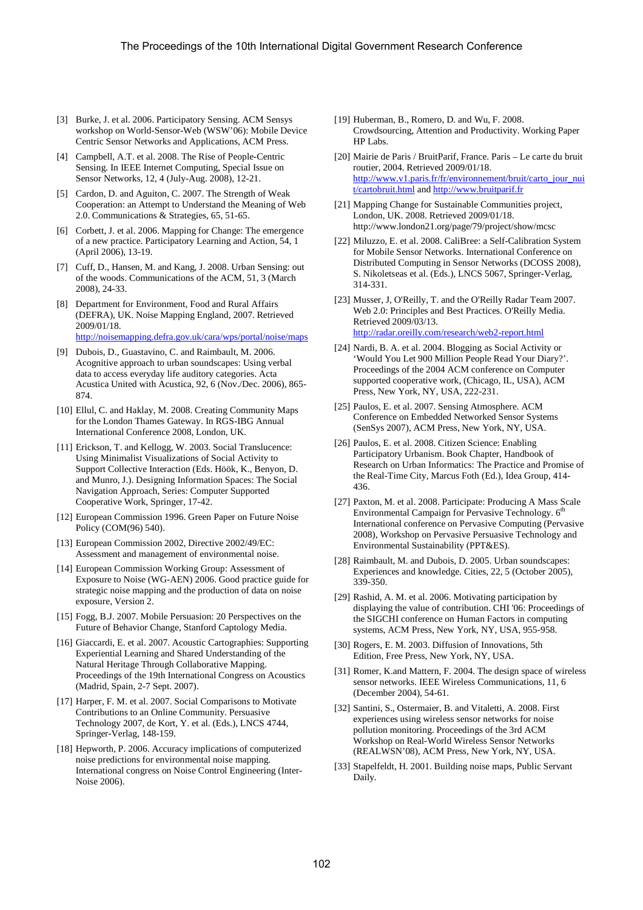- [3] Burke, J. et al. 2006. Participatory Sensing. ACM Sensys workshop on World-Sensor-Web (WSW'06): Mobile Device Centric Sensor Networks and Applications, ACM Press.
- [4] Campbell, A.T. et al. 2008. The Rise of People-Centric Sensing. In IEEE Internet Computing, Special Issue on Sensor Networks, 12, 4 (July-Aug. 2008), 12-21.
- [5] Cardon, D. and Aguiton, C. 2007. The Strength of Weak Cooperation: an Attempt to Understand the Meaning of Web 2.0. Communications & Strategies, 65, 51-65.
- [6] Corbett, J. et al. 2006. Mapping for Change: The emergence of a new practice. Participatory Learning and Action, 54, 1 (April 2006), 13-19.
- [7] Cuff, D., Hansen, M. and Kang, J. 2008. Urban Sensing: out of the woods. Communications of the ACM, 51, 3 (March 2008), 24-33.
- [8] Department for Environment, Food and Rural Affairs (DEFRA), UK. Noise Mapping England, 2007. Retrieved 2009/01/18. http://noisemapping.defra.gov.uk/cara/wps/portal/noise/maps
- [9] Dubois, D., Guastavino, C. and Raimbault, M. 2006. Acognitive approach to urban soundscapes: Using verbal data to access everyday life auditory categories. Acta Acustica United with Acustica, 92, 6 (Nov./Dec. 2006), 865- 874.
- [10] Ellul, C. and Haklay, M. 2008. Creating Community Maps for the London Thames Gateway. In RGS-IBG Annual International Conference 2008, London, UK.
- [11] Erickson, T. and Kellogg, W. 2003. Social Translucence: Using Minimalist Visualizations of Social Activity to Support Collective Interaction (Eds. Höök, K., Benyon, D. and Munro, J.). Designing Information Spaces: The Social Navigation Approach, Series: Computer Supported Cooperative Work, Springer, 17-42.
- [12] European Commission 1996. Green Paper on Future Noise Policy (COM(96) 540).
- [13] European Commission 2002, Directive 2002/49/EC: Assessment and management of environmental noise.
- [14] European Commission Working Group: Assessment of Exposure to Noise (WG-AEN) 2006. Good practice guide for strategic noise mapping and the production of data on noise exposure, Version 2.
- [15] Fogg, B.J. 2007. Mobile Persuasion: 20 Perspectives on the Future of Behavior Change, Stanford Captology Media.
- [16] Giaccardi, E. et al. 2007. Acoustic Cartographies: Supporting Experiential Learning and Shared Understanding of the Natural Heritage Through Collaborative Mapping. Proceedings of the 19th International Congress on Acoustics (Madrid, Spain, 2-7 Sept. 2007).
- [17] Harper, F. M. et al. 2007. Social Comparisons to Motivate Contributions to an Online Community. Persuasive Technology 2007, de Kort, Y. et al. (Eds.), LNCS 4744, Springer-Verlag, 148-159.
- [18] Hepworth, P. 2006. Accuracy implications of computerized noise predictions for environmental noise mapping. International congress on Noise Control Engineering (Inter-Noise 2006).
- [19] Huberman, B., Romero, D. and Wu, F. 2008. Crowdsourcing, Attention and Productivity. Working Paper HP Labs.
- [20] Mairie de Paris / BruitParif, France. Paris Le carte du bruit routier, 2004. Retrieved 2009/01/18. http://www.v1.paris.fr/fr/environnement/bruit/carto\_jour\_nui t/cartobruit.html and http://www.bruitparif.fr
- [21] Mapping Change for Sustainable Communities project, London, UK. 2008. Retrieved 2009/01/18. http://www.london21.org/page/79/project/show/mcsc
- [22] Miluzzo, E. et al. 2008. CaliBree: a Self-Calibration System for Mobile Sensor Networks. International Conference on Distributed Computing in Sensor Networks (DCOSS 2008), S. Nikoletseas et al. (Eds.), LNCS 5067, Springer-Verlag, 314-331.
- [23] Musser, J, O'Reilly, T. and the O'Reilly Radar Team 2007. Web 2.0: Principles and Best Practices. O'Reilly Media. Retrieved 2009/03/13. http://radar.oreilly.com/research/web2-report.html
- [24] Nardi, B. A. et al. 2004. Blogging as Social Activity or 'Would You Let 900 Million People Read Your Diary?'. Proceedings of the 2004 ACM conference on Computer supported cooperative work, (Chicago, IL, USA), ACM Press, New York, NY, USA, 222-231.
- [25] Paulos, E. et al. 2007. Sensing Atmosphere. ACM Conference on Embedded Networked Sensor Systems (SenSys 2007), ACM Press, New York, NY, USA.
- [26] Paulos, E. et al. 2008. Citizen Science: Enabling Participatory Urbanism. Book Chapter, Handbook of Research on Urban Informatics: The Practice and Promise of the Real-Time City, Marcus Foth (Ed.), Idea Group, 414- 436.
- [27] Paxton, M. et al. 2008. Participate: Producing A Mass Scale Environmental Campaign for Pervasive Technology. 6<sup>th</sup> International conference on Pervasive Computing (Pervasive 2008), Workshop on Pervasive Persuasive Technology and Environmental Sustainability (PPT&ES).
- [28] Raimbault, M. and Dubois, D. 2005. Urban soundscapes: Experiences and knowledge. Cities, 22, 5 (October 2005), 339-350.
- [29] Rashid, A. M. et al. 2006. Motivating participation by displaying the value of contribution. CHI '06: Proceedings of the SIGCHI conference on Human Factors in computing systems, ACM Press, New York, NY, USA, 955-958.
- [30] Rogers, E. M. 2003. Diffusion of Innovations, 5th Edition, Free Press, New York, NY, USA.
- [31] Romer, K.and Mattern, F. 2004. The design space of wireless sensor networks. IEEE Wireless Communications, 11, 6 (December 2004), 54-61.
- [32] Santini, S., Ostermaier, B. and Vitaletti, A. 2008. First experiences using wireless sensor networks for noise pollution monitoring. Proceedings of the 3rd ACM Workshop on Real-World Wireless Sensor Networks (REALWSN'08), ACM Press, New York, NY, USA.
- [33] Stapelfeldt, H. 2001. Building noise maps, Public Servant Daily.